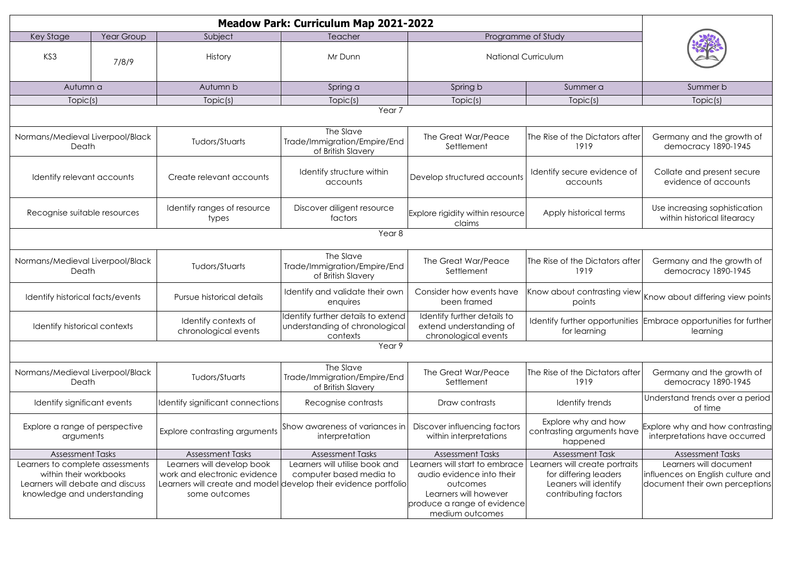| <b>Meadow Park: Curriculum Map 2021-2022</b>               |       |                                              |                                                                                            |                                                                                |                                                               |                                                                                   |  |
|------------------------------------------------------------|-------|----------------------------------------------|--------------------------------------------------------------------------------------------|--------------------------------------------------------------------------------|---------------------------------------------------------------|-----------------------------------------------------------------------------------|--|
| Year Group<br>Key Stage                                    |       | Subject                                      | Teacher                                                                                    | Programme of Study                                                             |                                                               |                                                                                   |  |
| KS3                                                        | 7/8/9 | <b>History</b>                               | Mr Dunn                                                                                    | <b>National Curriculum</b>                                                     |                                                               |                                                                                   |  |
| Autumn a                                                   |       | Autumn b                                     | Spring a                                                                                   | Spring b                                                                       | Summer a                                                      | Summer b                                                                          |  |
| Topic(s)                                                   |       | Topic(s)                                     | Topic(s)                                                                                   | Topic(s)                                                                       | Topic(s)                                                      | Topic(s)                                                                          |  |
| Year <sub>7</sub>                                          |       |                                              |                                                                                            |                                                                                |                                                               |                                                                                   |  |
| Normans/Medieval Liverpool/Black<br>Death                  |       | Tudors/Stuarts                               | The Slave<br>Trade/Immigration/Empire/End<br>of British Slavery                            | The Great War/Peace<br>Settlement                                              | The Rise of the Dictators after<br>1919                       | Germany and the growth of<br>democracy 1890-1945                                  |  |
| Identify relevant accounts                                 |       | Create relevant accounts                     | Identify structure within<br>accounts                                                      | Develop structured accounts                                                    | Identify secure evidence of<br>accounts                       | Collate and present secure<br>evidence of accounts                                |  |
| Recognise suitable resources                               |       | Identify ranges of resource<br>types         | Discover diligent resource<br>factors                                                      | Explore rigidity within resource<br>claims                                     | Apply historical terms                                        | Use increasing sophistication<br>within historical litearacy                      |  |
| Year <sub>8</sub>                                          |       |                                              |                                                                                            |                                                                                |                                                               |                                                                                   |  |
| Normans/Medieval Liverpool/Black<br>Death                  |       | Tudors/Stuarts                               | The Slave<br>Trade/Immigration/Empire/End<br>of British Slavery                            | The Great War/Peace<br>Settlement                                              | The Rise of the Dictators after<br>1919                       | Germany and the growth of<br>democracy 1890-1945                                  |  |
| Identify historical facts/events                           |       | Pursue historical details                    | Identify and validate their own<br>enquires                                                | Consider how events have<br>been framed                                        | points                                                        | $ $ Know about contrasting view $ $ Know about differing view points <sup>1</sup> |  |
| Identify historical contexts                               |       | Identify contexts of<br>chronological events | Identify further details to extend<br>understanding of chronological<br>contexts           | Identify further details to<br>extend understanding of<br>chronological events | for learning                                                  | Identify further opportunities Embrace opportunities for further<br>learning      |  |
| Year 9                                                     |       |                                              |                                                                                            |                                                                                |                                                               |                                                                                   |  |
| Normans/Medieval Liverpool/Black<br>Death                  |       | Tudors/Stuarts                               | The Slave<br>Trade/Immigration/Empire/End<br>of British Slavery                            | The Great War/Peace<br>Settlement                                              | The Rise of the Dictators after<br>1919                       | Germany and the growth of<br>democracy 1890-1945                                  |  |
| Identify significant events                                |       | Identify significant connections             | Recognise contrasts                                                                        | Draw contrasts                                                                 | Identify trends                                               | Understand trends over a period<br>of time                                        |  |
| Explore a range of perspective<br>arguments                |       | Explore contrasting arguments                | $ $ Show awareness of variances in $ $<br>interpretation                                   | Discover influencing factors<br>within interpretations                         | Explore why and how<br>contrasting arguments have<br>happened | Explore why and how contrasting<br>interpretations have occurred                  |  |
| <b>Assessment Tasks</b>                                    |       | <b>Assessment Tasks</b>                      | <b>Assessment Tasks</b>                                                                    | <b>Assessment Tasks</b>                                                        | <b>Assessment Task</b>                                        | <b>Assessment Tasks</b>                                                           |  |
| Learners to complete assessments                           |       | Learners will develop book                   | Learners will utilise book and                                                             | Learners will start to embrace                                                 | Learners will create portraits                                | Learners will document                                                            |  |
| within their workbooks<br>Learners will debate and discuss |       | work and electronic evidence                 | computer based media to<br>Learners will create and model develop their evidence portfolio | audio evidence into their<br>outcomes                                          | for differing leaders<br>Leaners will identify                | influences on English culture and<br>document their own perceptions               |  |
| knowledge and understanding                                |       | some outcomes                                |                                                                                            | Learners will however                                                          | contributing factors                                          |                                                                                   |  |
|                                                            |       |                                              |                                                                                            | produce a range of evidence                                                    |                                                               |                                                                                   |  |
|                                                            |       |                                              |                                                                                            | medium outcomes                                                                |                                                               |                                                                                   |  |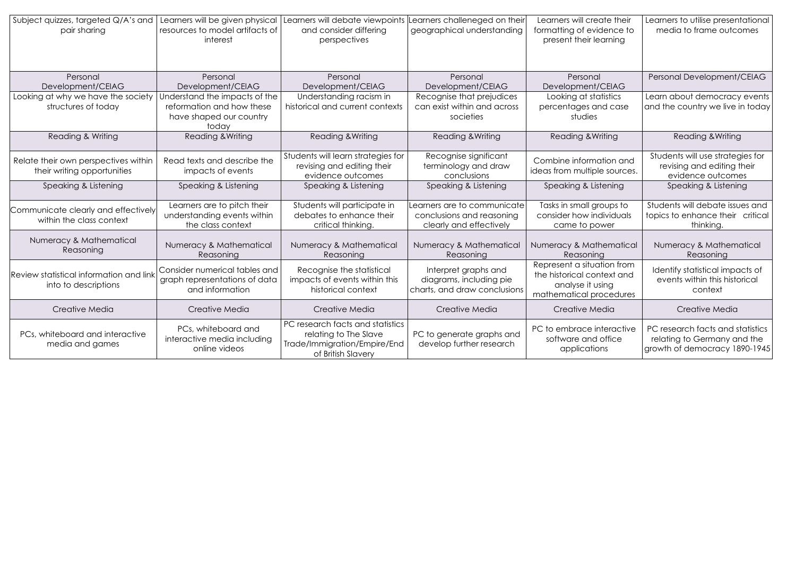| Subject quizzes, targeted Q/A's and     | Learners will be given physical | Learners will debate viewpoints    | earners challeneged on their                  | Learners will create their   | Learners to utilise presentational                             |
|-----------------------------------------|---------------------------------|------------------------------------|-----------------------------------------------|------------------------------|----------------------------------------------------------------|
| pair sharing                            | resources to model artifacts of | and consider differing             | geographical understanding                    | formatting of evidence to    | media to frame outcomes                                        |
|                                         | interest                        | perspectives                       |                                               | present their learning       |                                                                |
|                                         |                                 |                                    |                                               |                              |                                                                |
|                                         |                                 |                                    |                                               |                              |                                                                |
| Personal                                | Personal                        | Personal                           | Personal                                      | Personal                     | Personal Development/CEIAG                                     |
| Development/CEIAG                       | Development/CEIAG               | Development/CEIAG                  | Development/CEIAG                             | Development/CEIAG            |                                                                |
| Looking at why we have the society      | Understand the impacts of the   | Understanding racism in            | Recognise that prejudices                     | Looking at statistics        | Learn about democracy events                                   |
| structures of today                     | reformation and how these       | historical and current contexts    | can exist within and across                   | percentages and case         | and the country we live in today                               |
|                                         | have shaped our country         |                                    | societies                                     | studies                      |                                                                |
|                                         | today                           |                                    |                                               |                              |                                                                |
| Reading & Writing                       | Reading & Writing               | Reading & Writing                  | Reading & Writing                             | Reading & Writing            | Reading & Writing                                              |
|                                         |                                 | Students will learn strategies for |                                               |                              |                                                                |
| Relate their own perspectives within    | Read texts and describe the     | revising and editing their         | Recognise significant<br>terminology and draw | Combine information and      | Students will use strategies for<br>revising and editing their |
| their writing opportunities             | impacts of events               | evidence outcomes                  | conclusions                                   | ideas from multiple sources. | evidence outcomes                                              |
| Speaking & Listening                    | Speaking & Listening            | Speaking & Listening               | Speaking & Listening                          | Speaking & Listening         | Speaking & Listening                                           |
|                                         |                                 |                                    |                                               |                              |                                                                |
| Communicate clearly and effectively     | Learners are to pitch their     | Students will participate in       | earners are to communicate                    | Tasks in small groups to     | Students will debate issues and                                |
| within the class context                | understanding events within     | debates to enhance their           | conclusions and reasoning                     | consider how individuals     | topics to enhance their critical                               |
|                                         | the class context               | critical thinking.                 | clearly and effectively                       | came to power                | thinking.                                                      |
| Numeracy & Mathematical                 |                                 |                                    |                                               |                              |                                                                |
| Reasoning                               | Numeracy & Mathematical         | Numeracy & Mathematical            | Numeracy & Mathematical                       | Numeracy & Mathematical      | Numeracy & Mathematical                                        |
|                                         | Reasoning                       | Reasoning                          | Reasoning                                     | Reasoning                    | Reasoning                                                      |
|                                         | Consider numerical tables and   | Recognise the statistical          | Interpret graphs and                          | Represent a situation from   | Identify statistical impacts of                                |
| Review statistical information and link | graph representations of data   | impacts of events within this      | diagrams, including pie                       | the historical context and   | events within this historical                                  |
| into to descriptions                    | and information                 | historical context                 | charts, and draw conclusions                  | analyse it using             | context                                                        |
|                                         |                                 |                                    |                                               | mathematical procedures      |                                                                |
| Creative Media                          | Creative Media                  | Creative Media                     | Creative Media                                | Creative Media               | Creative Media                                                 |
|                                         | PCs, whiteboard and             | PC research facts and statistics   |                                               | PC to embrace interactive    | PC research facts and statistics                               |
| PCs, whiteboard and interactive         | interactive media including     | relating to The Slave              | PC to generate graphs and                     | software and office          | relating to Germany and the                                    |
| media and games                         | online videos                   | Trade/Immigration/Empire/End       | develop further research                      | applications                 | growth of democracy 1890-1945                                  |
|                                         |                                 | of British Slavery                 |                                               |                              |                                                                |